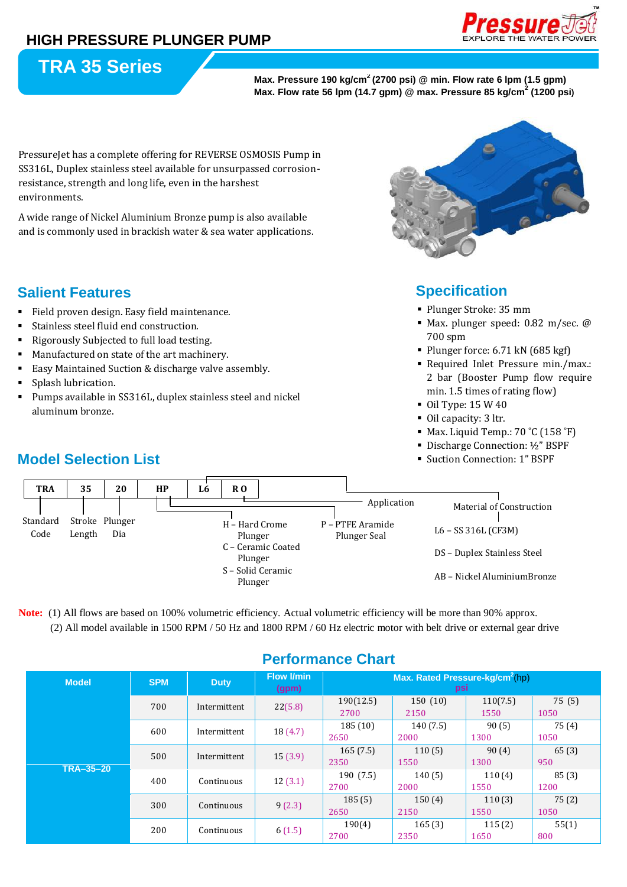

# **TRA 35 Series**

**Max. Pressure 190 kg/cm<sup>2</sup>(2700 psi) @ min. Flow rate 6 lpm (1.5 gpm) Max. Flow rate 56 lpm (14.7 gpm) @ max. Pressure 85 kg/cm<sup>2</sup> (1200 psi)**

PressureJet has a complete offering for REVERSE OSMOSIS Pump in SS316L, Duplex stainless steel available for unsurpassed corrosionresistance, strength and long life, even in the harshest environments.

A wide range of Nickel Aluminium Bronze pump is also available and is commonly used in brackish water & sea water applications.

### **Salient Features**

- Field proven design. Easy field maintenance.
- Stainless steel fluid end construction.
- Rigorously Subjected to full load testing.
- Manufactured on state of the art machinery.
- Easy Maintained Suction & discharge valve assembly.
- Splash lubrication.
- Pumps available in SS316L, duplex stainless steel and nickel aluminum bronze.

## **Model Selection List**



### **Specification:**

- Plunger Stroke: 35 mm
- Max. plunger speed: 0.82 m/sec. @ 700 spm
- Plunger force: 6.71 kN (685 kgf)
- Required Inlet Pressure min./max.: 2 bar (Booster Pump flow require min. 1.5 times of rating flow)
- Oil Type: 15 W 40
- Oil capacity: 3 ltr.
- $\blacksquare$  Max. Liquid Temp.: 70 °C (158 °F)
- Discharge Connection: 1/2" BSPF
- Suction Connection: 1" BSPF



**Note:** (1) All flows are based on 100% volumetric efficiency. Actual volumetric efficiency will be more than 90% approx. (2) All model available in 1500 RPM / 50 Hz and 1800 RPM / 60 Hz electric motor with belt drive or external gear drive

| <b>GHUIHANG VHAR</b> |            |              |                            |                                                    |                  |                  |                |
|----------------------|------------|--------------|----------------------------|----------------------------------------------------|------------------|------------------|----------------|
| <b>Model</b>         | <b>SPM</b> | <b>Duty</b>  | <b>Flow I/min</b><br>(gpm) | Max. Rated Pressure-kg/cm <sup>2</sup> (hp)<br>psi |                  |                  |                |
| TRA-35-20            | 700        | Intermittent | 22(5.8)                    | 190(12.5)<br>2700                                  | 150(10)<br>2150  | 110(7.5)<br>1550 | 75 (5)<br>1050 |
|                      | 600        | Intermittent | 18(4.7)                    | 185(10)<br>2650                                    | 140(7.5)<br>2000 | 90(5)<br>1300    | 75(4)<br>1050  |
|                      | 500        | Intermittent | 15(3.9)                    | 165(7.5)<br>2350                                   | 110(5)<br>1550   | 90(4)<br>1300    | 65(3)<br>950   |
|                      | 400        | Continuous   | 12(3.1)                    | 190(7.5)<br>2700                                   | 140(5)<br>2000   | 110(4)<br>1550   | 85(3)<br>1200  |
|                      | 300        | Continuous   | 9(2.3)                     | 185(5)<br>2650                                     | 150(4)<br>2150   | 110(3)<br>1550   | 75(2)<br>1050  |
|                      | 200        | Continuous   | 6(1.5)                     | 190(4)<br>2700                                     | 165(3)<br>2350   | 115(2)<br>1650   | 55(1)<br>800   |

### **Performance Chart**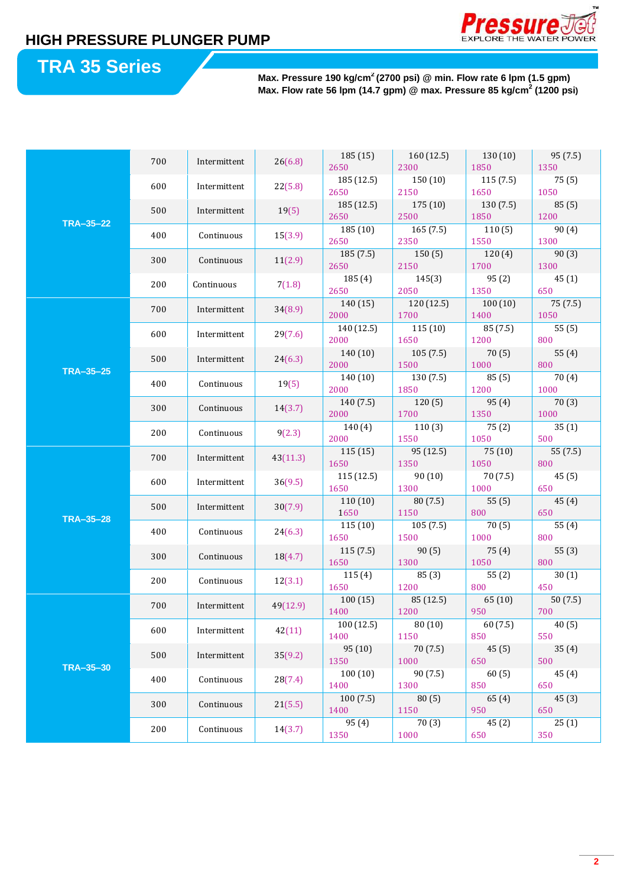

# **TRA 35 Series**

**Max. Pressure 190 kg/cm<sup>2</sup>(2700 psi) @ min. Flow rate 6 lpm (1.5 gpm) Max. Flow rate 56 lpm (14.7 gpm) @ max. Pressure 85 kg/cm<sup>2</sup> (1200 psi)**

| <b>TRA-35-22</b> | 700 | Intermittent      | 26(6.8)  | 185(15)           | 160(12.5)        | 130 (10)       | 95 (7.5)      |
|------------------|-----|-------------------|----------|-------------------|------------------|----------------|---------------|
|                  |     |                   |          | 2650              | 2300             | 1850           | 1350          |
|                  | 600 | Intermittent      | 22(5.8)  | 185 (12.5)        | 150(10)          | 115(7.5)       | 75(5)         |
|                  |     |                   |          | 2650              | 2150             | 1650           | 1050          |
|                  | 500 | Intermittent      | 19(5)    | 185 (12.5)        | 175 (10)         | 130 (7.5)      | 85(5)         |
|                  |     |                   |          | 2650              | 2500             | 1850           | 1200          |
|                  | 400 | Continuous        | 15(3.9)  | 185 (10)          | 165(7.5)         | 110(5)         | 90(4)         |
|                  |     |                   |          | 2650              | 2350             | 1550           | 1300          |
|                  | 300 | Continuous        | 11(2.9)  | 185 (7.5)<br>2650 | 150(5)<br>2150   | 120(4)<br>1700 | 90(3)<br>1300 |
|                  |     |                   |          | 185 (4)           | 145(3)           | 95(2)          | 45(1)         |
|                  | 200 | Continuous        | 7(1.8)   | 2650              | 2050             | 1350           | 650           |
|                  |     |                   |          | 140 (15)          | 120 (12.5)       | 100(10)        | 75 (7.5)      |
|                  | 700 | Intermittent      | 34(8.9)  | 2000              | 1700             | 1400           | 1050          |
|                  |     |                   | 29(7.6)  | 140 (12.5)        | 115(10)          | 85 (7.5)       | 55(5)         |
|                  | 600 | Intermittent      |          | 2000              | 1650             | 1200           | 800           |
|                  |     |                   | 24(6.3)  | 140(10)           | 105(7.5)         | 70(5)          | 55(4)         |
|                  | 500 | Intermittent      |          | 2000              | 1500             | 1000           | 800           |
| <b>TRA-35-25</b> |     |                   | 19(5)    | 140 (10)          | 130(7.5)         | 85(5)          | 70 (4)        |
|                  | 400 | Continuous        |          | 2000              | 1850             | 1200           | 1000          |
|                  | 300 | Continuous        | 14(3.7)  | 140(7.5)          | 120(5)           | 95(4)          | 70 (3)        |
|                  |     |                   |          | 2000              | 1700             | 1350           | 1000          |
|                  | 200 | Continuous        | 9(2.3)   | 140(4)            | 110(3)           | 75(2)          | 35(1)         |
|                  |     |                   |          | 2000              | 1550             | 1050           | 500           |
|                  | 700 | Intermittent      | 43(11.3) | 115(15)           | 95 (12.5)        | 75 (10)        | 55 (7.5)      |
|                  |     |                   |          | 1650              | 1350             | 1050           | 800           |
|                  | 600 | Intermittent      | 36(9.5)  | 115 (12.5)        | 90(10)           | 70 (7.5)       | 45(5)         |
|                  |     |                   |          | 1650              | 1300             | 1000           | 650           |
|                  | 500 | Intermittent      | 30(7.9)  | 110(10)           | 80 (7.5)         | 55(5)          | 45(4)         |
| <b>TRA-35-28</b> |     |                   | 24(6.3)  | 1650              | 1150             | 800            | 650           |
|                  | 400 | Continuous        |          | 115(10)<br>1650   | 105(7.5)<br>1500 | 70(5)<br>1000  | 55(4)<br>800  |
|                  |     | Continuous        | 18(4.7)  | 115(7.5)          | 90(5)            | 75 (4)         | 55(3)         |
|                  | 300 |                   |          | 1650              | 1300             | 1050           | 800           |
|                  |     | Continuous        | 12(3.1)  | 115(4)            | 85(3)            | 55(2)          | 30(1)         |
|                  | 200 |                   |          | 1650              | 1200             | 800            | 450           |
|                  |     |                   | 49(12.9) | 100(15)           | 85 (12.5)        | 65 (10)        | 50(7.5)       |
|                  | 700 | Intermittent      |          | 1400              | 1200             | 950            | 700           |
| TRA-35-30        | 600 | Intermittent      | 42(11)   | 100 (12.5)        | 80(10)           | 60(7.5)        | 40(5)         |
|                  |     |                   |          | 1400              | 1150             | 850            | 550           |
|                  | 500 | Intermittent      |          | 95(10)            | 70 (7.5)         | 45(5)          | 35(4)         |
|                  |     |                   | 35(9.2)  | 1350              | 1000             | 650            | 500           |
|                  | 400 | Continuous        | 28(7.4)  | 100(10)           | 90 (7.5)         | 60(5)          | 45(4)         |
|                  |     |                   |          | 1400              | 1300             | 850            | 650           |
|                  | 300 | Continuous        | 21(5.5)  | 100(7.5)          | 80(5)            | 65(4)          | 45(3)         |
|                  |     | 200<br>Continuous |          | 1400              | 1150             | 950            | 650           |
|                  |     |                   | 14(3.7)  | 95 (4)            | 70(3)            | 45(2)          | 25(1)         |
|                  |     |                   |          | 1350              | 1000             | 650            | 350           |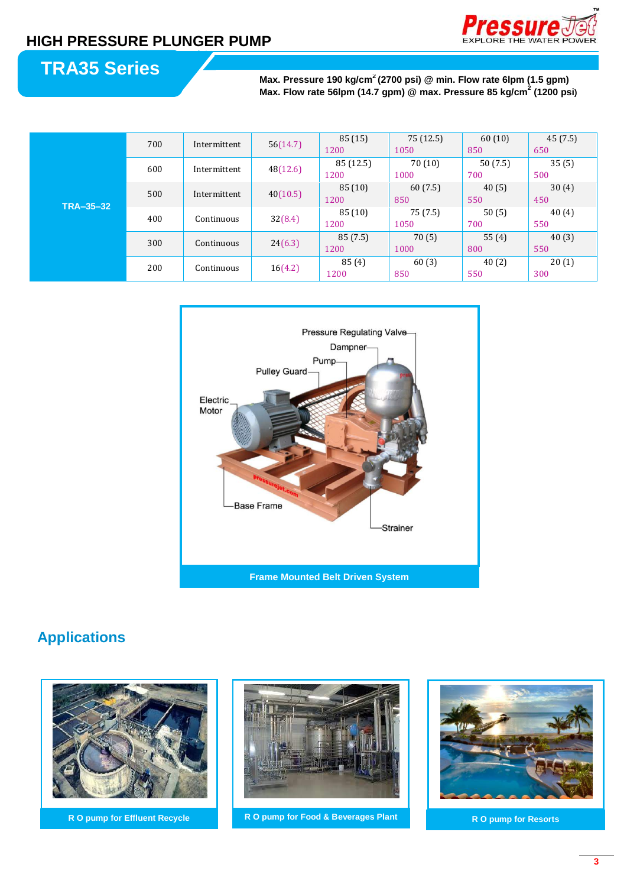

# **TRA35 Series**

**Max. Pressure 190 kg/cm<sup>2</sup>(2700 psi) @ min. Flow rate 6lpm (1.5 gpm) Max. Flow rate 56lpm (14.7 gpm) @ max. Pressure 85 kg/cm<sup>2</sup> (1200 psi)**

| TRA-35-32 | 700               | Intermittent | 56(14.7) | 85 (15)   | 75 (12.5) | 60(10)  | 45 (7.5) |
|-----------|-------------------|--------------|----------|-----------|-----------|---------|----------|
|           |                   |              |          | 1200      | 1050      | 850     | 650      |
|           | 600               | Intermittent | 48(12.6) | 85 (12.5) | 70(10)    | 50(7.5) | 35(5)    |
|           |                   |              |          | 1200      | 1000      | 700     | 500      |
|           | 500               | Intermittent | 40(10.5) | 85(10)    | 60(7.5)   | 40(5)   | 30(4)    |
|           |                   |              |          | 1200      | 850       | 550     | 450      |
|           | 400               | Continuous   | 32(8.4)  | 85(10)    | 75 (7.5)  | 50(5)   | 40(4)    |
|           |                   |              |          | 1200      | 1050      | 700     | 550      |
|           | 300               | Continuous   | 24(6.3)  | 85 (7.5)  | 70(5)     | 55(4)   | 40(3)    |
|           |                   |              |          | 1200      | 1000      | 800     | 550      |
|           | 200<br>Continuous |              | 16(4.2)  | 85(4)     | 60(3)     | 40(2)   | 20(1)    |
|           |                   |              |          | 1200      | 850       | 550     | 300      |



## **Applications**





**R O pump for Effluent Recycle R O pump for Food & Beverages Plant R O pump for Resorts**